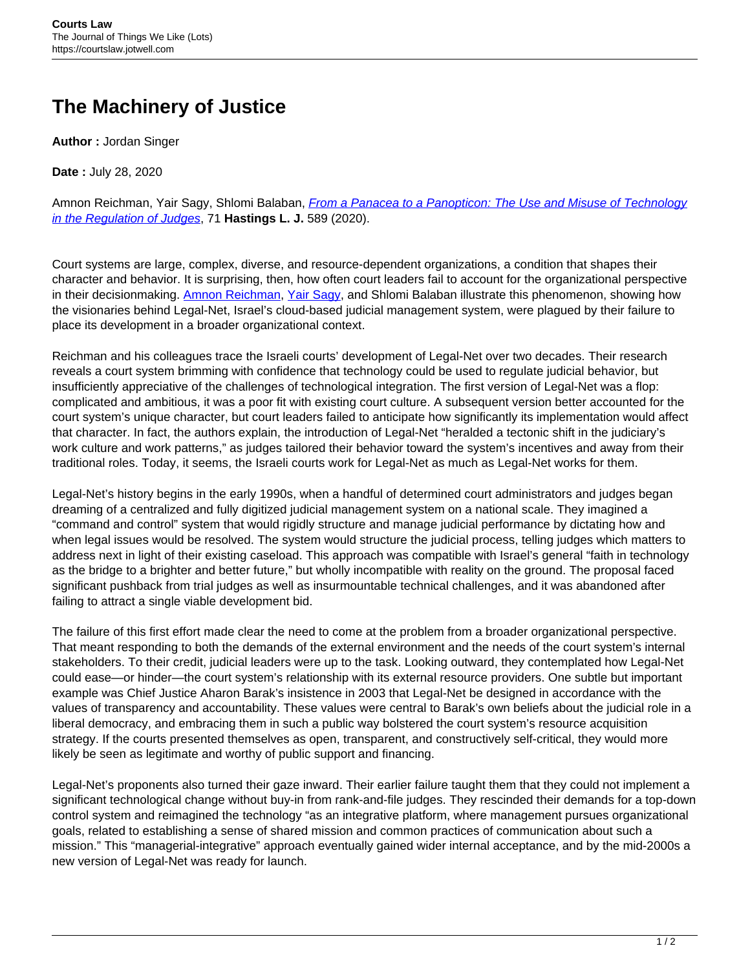## **The Machinery of Justice**

**Author :** Jordan Singer

**Date :** July 28, 2020

Amnon Reichman, Yair Sagy, Shlomi Balaban, *[From a Panacea to a Panopticon: The Use and Misuse of Technology](http://www.hastingslawjournal.org/from-a-panacea-to-a-panopticon-the-use-and-misuse-of-technology-in-the-regulation-of-judges/)* [in the Regulation of Judges](http://www.hastingslawjournal.org/from-a-panacea-to-a-panopticon-the-use-and-misuse-of-technology-in-the-regulation-of-judges/), 71 **Hastings L. J.** 589 (2020).

Court systems are large, complex, diverse, and resource-dependent organizations, a condition that shapes their character and behavior. It is surprising, then, how often court leaders fail to account for the organizational perspective in their decisionmaking. [Amnon Reichman](https://www.law.berkeley.edu/our-faculty/faculty-profiles/amnon-reichman/), [Yair Sagy](http://law.haifa.ac.il/index.php/en/faculty-ysagy#about), and Shlomi Balaban illustrate this phenomenon, showing how the visionaries behind Legal-Net, Israel's cloud-based judicial management system, were plagued by their failure to place its development in a broader organizational context.

Reichman and his colleagues trace the Israeli courts' development of Legal-Net over two decades. Their research reveals a court system brimming with confidence that technology could be used to regulate judicial behavior, but insufficiently appreciative of the challenges of technological integration. The first version of Legal-Net was a flop: complicated and ambitious, it was a poor fit with existing court culture. A subsequent version better accounted for the court system's unique character, but court leaders failed to anticipate how significantly its implementation would affect that character. In fact, the authors explain, the introduction of Legal-Net "heralded a tectonic shift in the judiciary's work culture and work patterns," as judges tailored their behavior toward the system's incentives and away from their traditional roles. Today, it seems, the Israeli courts work for Legal-Net as much as Legal-Net works for them.

Legal-Net's history begins in the early 1990s, when a handful of determined court administrators and judges began dreaming of a centralized and fully digitized judicial management system on a national scale. They imagined a "command and control" system that would rigidly structure and manage judicial performance by dictating how and when legal issues would be resolved. The system would structure the judicial process, telling judges which matters to address next in light of their existing caseload. This approach was compatible with Israel's general "faith in technology as the bridge to a brighter and better future," but wholly incompatible with reality on the ground. The proposal faced significant pushback from trial judges as well as insurmountable technical challenges, and it was abandoned after failing to attract a single viable development bid.

The failure of this first effort made clear the need to come at the problem from a broader organizational perspective. That meant responding to both the demands of the external environment and the needs of the court system's internal stakeholders. To their credit, judicial leaders were up to the task. Looking outward, they contemplated how Legal-Net could ease—or hinder—the court system's relationship with its external resource providers. One subtle but important example was Chief Justice Aharon Barak's insistence in 2003 that Legal-Net be designed in accordance with the values of transparency and accountability. These values were central to Barak's own beliefs about the judicial role in a liberal democracy, and embracing them in such a public way bolstered the court system's resource acquisition strategy. If the courts presented themselves as open, transparent, and constructively self-critical, they would more likely be seen as legitimate and worthy of public support and financing.

Legal-Net's proponents also turned their gaze inward. Their earlier failure taught them that they could not implement a significant technological change without buy-in from rank-and-file judges. They rescinded their demands for a top-down control system and reimagined the technology "as an integrative platform, where management pursues organizational goals, related to establishing a sense of shared mission and common practices of communication about such a mission." This "managerial-integrative" approach eventually gained wider internal acceptance, and by the mid-2000s a new version of Legal-Net was ready for launch.